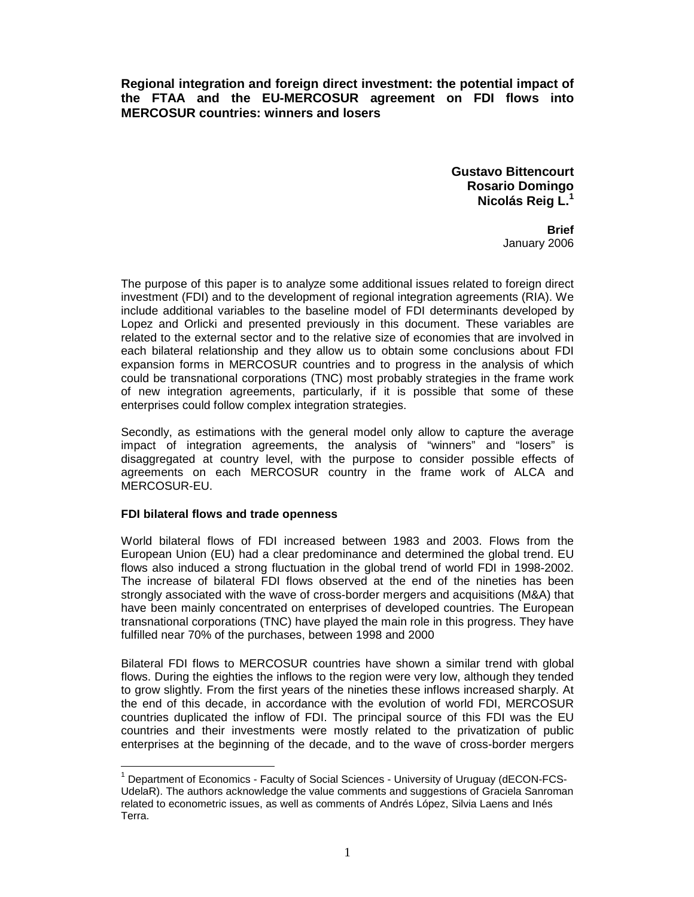**Regional integration and foreign direct investment: the potential impact of the FTAA and the EU-MERCOSUR agreement on FDI flows into MERCOSUR countries: winners and losers** 

> **Gustavo Bittencourt Rosario Domingo Nicolás Reig L.<sup>1</sup>**

> > **Brief**  January 2006

The purpose of this paper is to analyze some additional issues related to foreign direct investment (FDI) and to the development of regional integration agreements (RIA). We include additional variables to the baseline model of FDI determinants developed by Lopez and Orlicki and presented previously in this document. These variables are related to the external sector and to the relative size of economies that are involved in each bilateral relationship and they allow us to obtain some conclusions about FDI expansion forms in MERCOSUR countries and to progress in the analysis of which could be transnational corporations (TNC) most probably strategies in the frame work of new integration agreements, particularly, if it is possible that some of these enterprises could follow complex integration strategies.

Secondly, as estimations with the general model only allow to capture the average impact of integration agreements, the analysis of "winners" and "losers" is disaggregated at country level, with the purpose to consider possible effects of agreements on each MERCOSUR country in the frame work of ALCA and MERCOSUR-EU.

## **FDI bilateral flows and trade openness**

World bilateral flows of FDI increased between 1983 and 2003. Flows from the European Union (EU) had a clear predominance and determined the global trend. EU flows also induced a strong fluctuation in the global trend of world FDI in 1998-2002. The increase of bilateral FDI flows observed at the end of the nineties has been strongly associated with the wave of cross-border mergers and acquisitions (M&A) that have been mainly concentrated on enterprises of developed countries. The European transnational corporations (TNC) have played the main role in this progress. They have fulfilled near 70% of the purchases, between 1998 and 2000

Bilateral FDI flows to MERCOSUR countries have shown a similar trend with global flows. During the eighties the inflows to the region were very low, although they tended to grow slightly. From the first years of the nineties these inflows increased sharply. At the end of this decade, in accordance with the evolution of world FDI, MERCOSUR countries duplicated the inflow of FDI. The principal source of this FDI was the EU countries and their investments were mostly related to the privatization of public enterprises at the beginning of the decade, and to the wave of cross-border mergers

1 Department of Economics - Faculty of Social Sciences - University of Uruguay (dECON-FCS-UdelaR). The authors acknowledge the value comments and suggestions of Graciela Sanroman related to econometric issues, as well as comments of Andrés López, Silvia Laens and Inés Terra.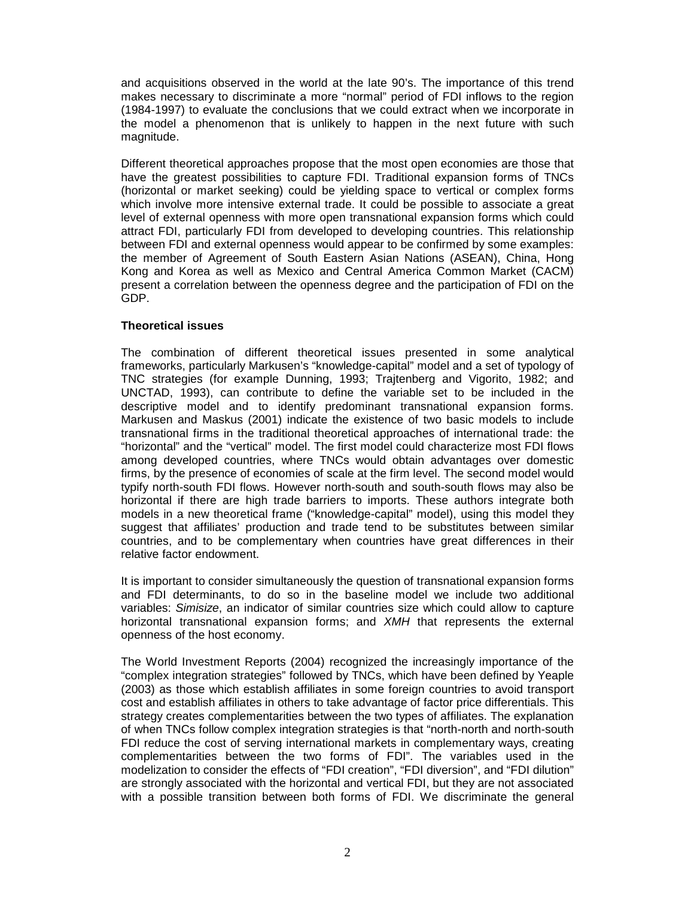and acquisitions observed in the world at the late 90's. The importance of this trend makes necessary to discriminate a more "normal" period of FDI inflows to the region (1984-1997) to evaluate the conclusions that we could extract when we incorporate in the model a phenomenon that is unlikely to happen in the next future with such magnitude.

Different theoretical approaches propose that the most open economies are those that have the greatest possibilities to capture FDI. Traditional expansion forms of TNCs (horizontal or market seeking) could be yielding space to vertical or complex forms which involve more intensive external trade. It could be possible to associate a great level of external openness with more open transnational expansion forms which could attract FDI, particularly FDI from developed to developing countries. This relationship between FDI and external openness would appear to be confirmed by some examples: the member of Agreement of South Eastern Asian Nations (ASEAN), China, Hong Kong and Korea as well as Mexico and Central America Common Market (CACM) present a correlation between the openness degree and the participation of FDI on the GDP.

## **Theoretical issues**

The combination of different theoretical issues presented in some analytical frameworks, particularly Markusen's "knowledge-capital" model and a set of typology of TNC strategies (for example Dunning, 1993; Trajtenberg and Vigorito, 1982; and UNCTAD, 1993), can contribute to define the variable set to be included in the descriptive model and to identify predominant transnational expansion forms. Markusen and Maskus (2001) indicate the existence of two basic models to include transnational firms in the traditional theoretical approaches of international trade: the "horizontal" and the "vertical" model. The first model could characterize most FDI flows among developed countries, where TNCs would obtain advantages over domestic firms, by the presence of economies of scale at the firm level. The second model would typify north-south FDI flows. However north-south and south-south flows may also be horizontal if there are high trade barriers to imports. These authors integrate both models in a new theoretical frame ("knowledge-capital" model), using this model they suggest that affiliates' production and trade tend to be substitutes between similar countries, and to be complementary when countries have great differences in their relative factor endowment.

It is important to consider simultaneously the question of transnational expansion forms and FDI determinants, to do so in the baseline model we include two additional variables: *Simisize*, an indicator of similar countries size which could allow to capture horizontal transnational expansion forms; and *XMH* that represents the external openness of the host economy.

The World Investment Reports (2004) recognized the increasingly importance of the "complex integration strategies" followed by TNCs, which have been defined by Yeaple (2003) as those which establish affiliates in some foreign countries to avoid transport cost and establish affiliates in others to take advantage of factor price differentials. This strategy creates complementarities between the two types of affiliates. The explanation of when TNCs follow complex integration strategies is that "north-north and north-south FDI reduce the cost of serving international markets in complementary ways, creating complementarities between the two forms of FDI". The variables used in the modelization to consider the effects of "FDI creation", "FDI diversion", and "FDI dilution" are strongly associated with the horizontal and vertical FDI, but they are not associated with a possible transition between both forms of FDI. We discriminate the general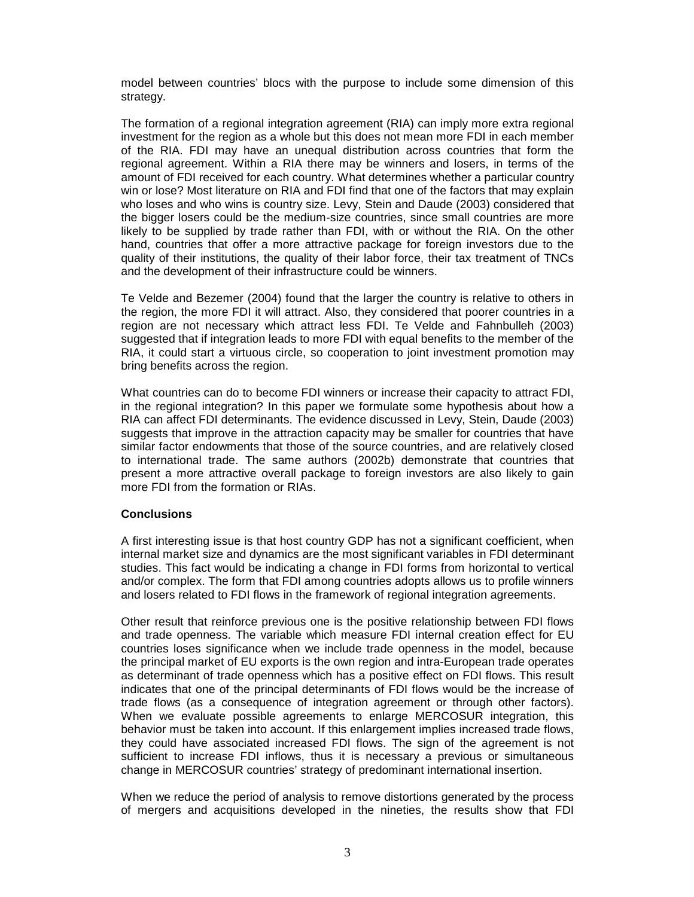model between countries' blocs with the purpose to include some dimension of this strategy.

The formation of a regional integration agreement (RIA) can imply more extra regional investment for the region as a whole but this does not mean more FDI in each member of the RIA. FDI may have an unequal distribution across countries that form the regional agreement. Within a RIA there may be winners and losers, in terms of the amount of FDI received for each country. What determines whether a particular country win or lose? Most literature on RIA and FDI find that one of the factors that may explain who loses and who wins is country size. Levy, Stein and Daude (2003) considered that the bigger losers could be the medium-size countries, since small countries are more likely to be supplied by trade rather than FDI, with or without the RIA. On the other hand, countries that offer a more attractive package for foreign investors due to the quality of their institutions, the quality of their labor force, their tax treatment of TNCs and the development of their infrastructure could be winners.

Te Velde and Bezemer (2004) found that the larger the country is relative to others in the region, the more FDI it will attract. Also, they considered that poorer countries in a region are not necessary which attract less FDI. Te Velde and Fahnbulleh (2003) suggested that if integration leads to more FDI with equal benefits to the member of the RIA, it could start a virtuous circle, so cooperation to joint investment promotion may bring benefits across the region.

What countries can do to become FDI winners or increase their capacity to attract FDI, in the regional integration? In this paper we formulate some hypothesis about how a RIA can affect FDI determinants. The evidence discussed in Levy, Stein, Daude (2003) suggests that improve in the attraction capacity may be smaller for countries that have similar factor endowments that those of the source countries, and are relatively closed to international trade. The same authors (2002b) demonstrate that countries that present a more attractive overall package to foreign investors are also likely to gain more FDI from the formation or RIAs.

## **Conclusions**

A first interesting issue is that host country GDP has not a significant coefficient, when internal market size and dynamics are the most significant variables in FDI determinant studies. This fact would be indicating a change in FDI forms from horizontal to vertical and/or complex. The form that FDI among countries adopts allows us to profile winners and losers related to FDI flows in the framework of regional integration agreements.

Other result that reinforce previous one is the positive relationship between FDI flows and trade openness. The variable which measure FDI internal creation effect for EU countries loses significance when we include trade openness in the model, because the principal market of EU exports is the own region and intra-European trade operates as determinant of trade openness which has a positive effect on FDI flows. This result indicates that one of the principal determinants of FDI flows would be the increase of trade flows (as a consequence of integration agreement or through other factors). When we evaluate possible agreements to enlarge MERCOSUR integration, this behavior must be taken into account. If this enlargement implies increased trade flows, they could have associated increased FDI flows. The sign of the agreement is not sufficient to increase FDI inflows, thus it is necessary a previous or simultaneous change in MERCOSUR countries' strategy of predominant international insertion.

When we reduce the period of analysis to remove distortions generated by the process of mergers and acquisitions developed in the nineties, the results show that FDI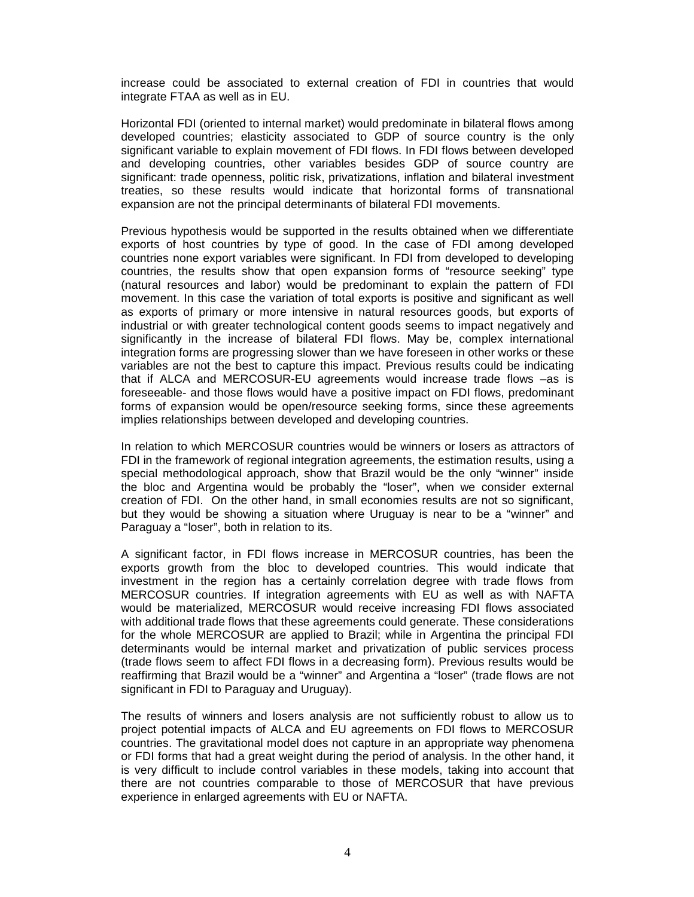increase could be associated to external creation of FDI in countries that would integrate FTAA as well as in EU.

Horizontal FDI (oriented to internal market) would predominate in bilateral flows among developed countries; elasticity associated to GDP of source country is the only significant variable to explain movement of FDI flows. In FDI flows between developed and developing countries, other variables besides GDP of source country are significant: trade openness, politic risk, privatizations, inflation and bilateral investment treaties, so these results would indicate that horizontal forms of transnational expansion are not the principal determinants of bilateral FDI movements.

Previous hypothesis would be supported in the results obtained when we differentiate exports of host countries by type of good. In the case of FDI among developed countries none export variables were significant. In FDI from developed to developing countries, the results show that open expansion forms of "resource seeking" type (natural resources and labor) would be predominant to explain the pattern of FDI movement. In this case the variation of total exports is positive and significant as well as exports of primary or more intensive in natural resources goods, but exports of industrial or with greater technological content goods seems to impact negatively and significantly in the increase of bilateral FDI flows. May be, complex international integration forms are progressing slower than we have foreseen in other works or these variables are not the best to capture this impact. Previous results could be indicating that if ALCA and MERCOSUR-EU agreements would increase trade flows –as is foreseeable- and those flows would have a positive impact on FDI flows, predominant forms of expansion would be open/resource seeking forms, since these agreements implies relationships between developed and developing countries.

In relation to which MERCOSUR countries would be winners or losers as attractors of FDI in the framework of regional integration agreements, the estimation results, using a special methodological approach, show that Brazil would be the only "winner" inside the bloc and Argentina would be probably the "loser", when we consider external creation of FDI. On the other hand, in small economies results are not so significant, but they would be showing a situation where Uruguay is near to be a "winner" and Paraguay a "loser", both in relation to its.

A significant factor, in FDI flows increase in MERCOSUR countries, has been the exports growth from the bloc to developed countries. This would indicate that investment in the region has a certainly correlation degree with trade flows from MERCOSUR countries. If integration agreements with EU as well as with NAFTA would be materialized, MERCOSUR would receive increasing FDI flows associated with additional trade flows that these agreements could generate. These considerations for the whole MERCOSUR are applied to Brazil; while in Argentina the principal FDI determinants would be internal market and privatization of public services process (trade flows seem to affect FDI flows in a decreasing form). Previous results would be reaffirming that Brazil would be a "winner" and Argentina a "loser" (trade flows are not significant in FDI to Paraguay and Uruguay).

The results of winners and losers analysis are not sufficiently robust to allow us to project potential impacts of ALCA and EU agreements on FDI flows to MERCOSUR countries. The gravitational model does not capture in an appropriate way phenomena or FDI forms that had a great weight during the period of analysis. In the other hand, it is very difficult to include control variables in these models, taking into account that there are not countries comparable to those of MERCOSUR that have previous experience in enlarged agreements with EU or NAFTA.